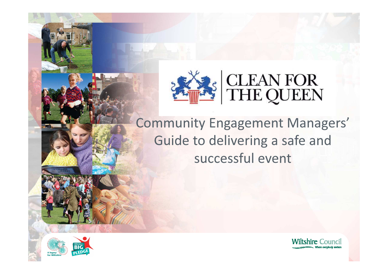

Community Engagement Managers'Guide to delivering a safe and successful event



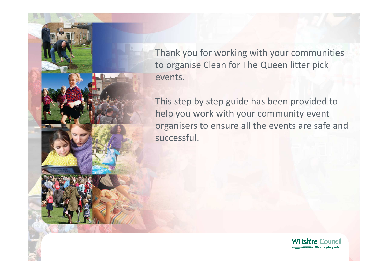Thank you for working with your communities to organise Clean for The Queen litter pick events.

This step by step guide has been provided to help you work with your community event organisers to ensure all the events are safe and successful.

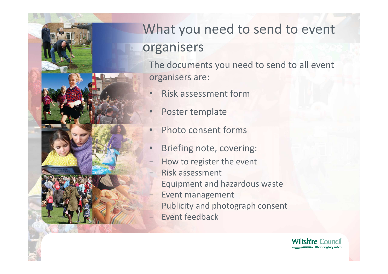

# What you need to send to event organisers

The documents you need to send to all event organisers are:

- •Risk assessment form
- •Poster template
- $\bullet$ Photo consent forms
- •Briefing note, covering:
- How to register the event
- Risk assessment
- Equipment and hazardous waste
- Event management
- Publicity and photograph consent
- Event feedback

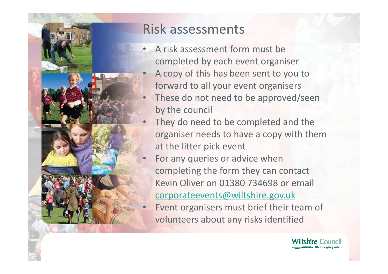

•

•

#### Risk assessments

- • A risk assessment form must be completed by each event organiser $\bullet$  A copy of this has been sent to you to forward to all your event organisers
- • These do not need to be approved/seen by the council
- • They do need to be completed and the organiser needs to have a copy with them at the litter pick event
- For any queries or advice when completing the form they can contact Kevin Oliver on 01380 734698 or email corporateevents@wiltshire.gov.uk
- Event organisers must brief their team of volunteers about any risks identified

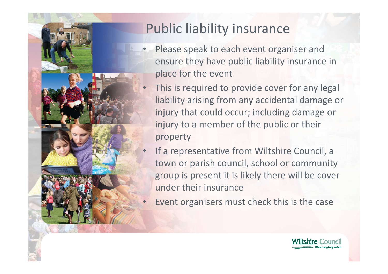

### Public liability insurance

•

•

 $\bullet$ 

- Please speak to each event organiser and ensure they have public liability insurance in place for the event
- This is required to provide cover for any legal liability arising from any accidental damage or injury that could occur; including damage or injury to a member of the public or their property
- • If a representative from Wiltshire Council, a town or parish council, school or community group is present it is likely there will be cover under their insurance
- Event organisers must check this is the case

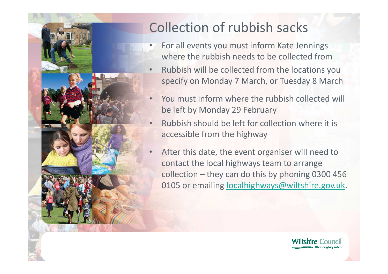

## Collection of rubbish sacks

- • For all events you must inform Kate Jenningswhere the rubbish needs to be collected from
- Rubbish will be collected from the locations you •specify on Monday 7 March, or Tuesday 8 March
- • You must inform where the rubbish collected will be left by Monday 29 February
- • Rubbish should be left for collection where it is accessible from the highway
- • After this date, the event organiser will need to contact the local highways team to arrange collection – they can do this by phoning 0300 456 0105 or emailing localhighways@wiltshire.gov.uk.

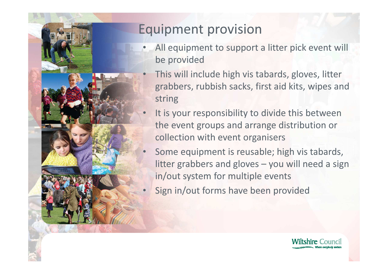

### Equipment provision

 $\bullet$ 

•

- • All equipment to support a litter pick event will be provided
	- This will include high vis tabards, gloves, litter grabbers, rubbish sacks, first aid kits, wipes and string
- It is your responsibility to divide this between the event groups and arrange distribution or collection with event organisers
- • Some equipment is reusable; high vis tabards, litter grabbers and gloves – you will need a sign in/out system for multiple events
- $\bullet$ Sign in/out forms have been provided

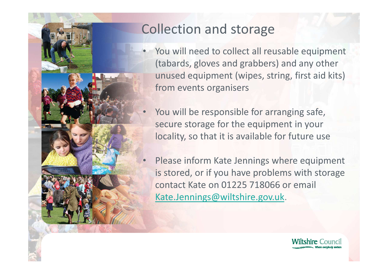

 $\bullet$ 

#### Collection and storage

- You will need to collect all reusable equipment (tabards, gloves and grabbers) and any other unused equipment (wipes, string, first aid kits) from events organisers
- $\bullet$ You will be responsible for arranging safe, secure storage for the equipment in your locality, so that it is available for future use
- Please inform Kate Jennings where equipment is stored, or if you have problems with storage contact Kate on 01225 718066 or email Kate.Jennings@wiltshire.gov.uk.

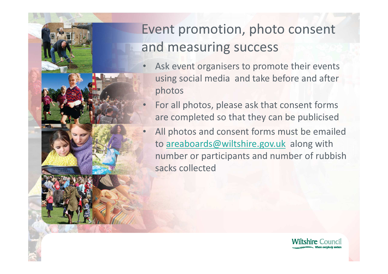

## Event promotion, photo consent and measuring success

- • Ask event organisers to promote their events using social media and take before and after photos
- • For all photos, please ask that consent forms are completed so that they can be publicised
- $\bullet$  All photos and consent forms must be emailed to areaboards@wiltshire.gov.uk along with number or participants and number of rubbish sacks collected